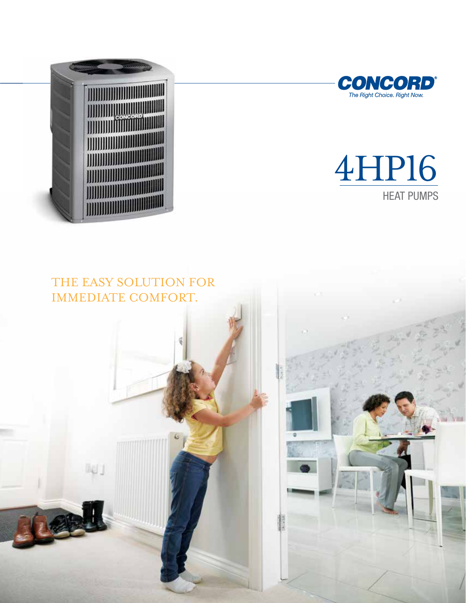



# 4HP16 HEAT PUMPS

## THE EASY SOLUTION FOR IMMEDIATE COMFORT.

iiei j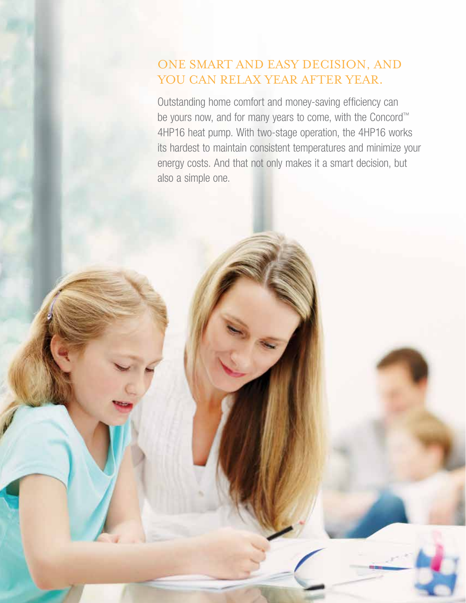### ONE SMART AND EASY DECISION, AND YOU CAN RELAX YEAR AFTER YEAR.

Outstanding home comfort and money-saving efficiency can be yours now, and for many years to come, with the Concord™ 4HP16 heat pump. With two-stage operation, the 4HP16 works its hardest to maintain consistent temperatures and minimize your energy costs. And that not only makes it a smart decision, but also a simple one.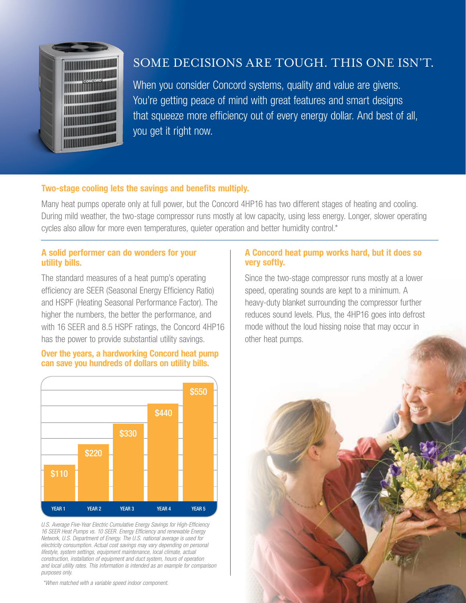

## SOME DECISIONS ARE TOUGH. THIS ONE ISN'T.

When you consider Concord systems, quality and value are givens. You're getting peace of mind with great features and smart designs that squeeze more efficiency out of every energy dollar. And best of all, you get it right now.

#### Two-stage cooling lets the savings and benefits multiply.

Many heat pumps operate only at full power, but the Concord 4HP16 has two different stages of heating and cooling. During mild weather, the two-stage compressor runs mostly at low capacity, using less energy. Longer, slower operating cycles also allow for more even temperatures, quieter operation and better humidity control.\*

#### A solid performer can do wonders for your utility bills.

The standard measures of a heat pump's operating efficiency are SEER (Seasonal Energy Efficiency Ratio) and HSPF (Heating Seasonal Performance Factor). The higher the numbers, the better the performance, and with 16 SEER and 8.5 HSPF ratings, the Concord 4HP16 has the power to provide substantial utility savings.





*U.S. Average Five-Year Electric Cumulative Energy Savings for High-Efficiency 16 SEER Heat Pumps vs. 10 SEER. Energy Efficiency and renewable Energy Network, U.S. Department of Energy. The U.S. national average is used for electricity consumption. Actual cost savings may vary depending on personal lifestyle, system settings, equipment maintenance, local climate, actual construction, installation of equipment and duct system, hours of operation and local utility rates. This information is intended as an example for comparison purposes only.*

*\*When matched with a variable speed indoor component.*

#### A Concord heat pump works hard, but it does so very softly.

Since the two-stage compressor runs mostly at a lower speed, operating sounds are kept to a minimum. A heavy-duty blanket surrounding the compressor further reduces sound levels. Plus, the 4HP16 goes into defrost mode without the loud hissing noise that may occur in other heat pumps.